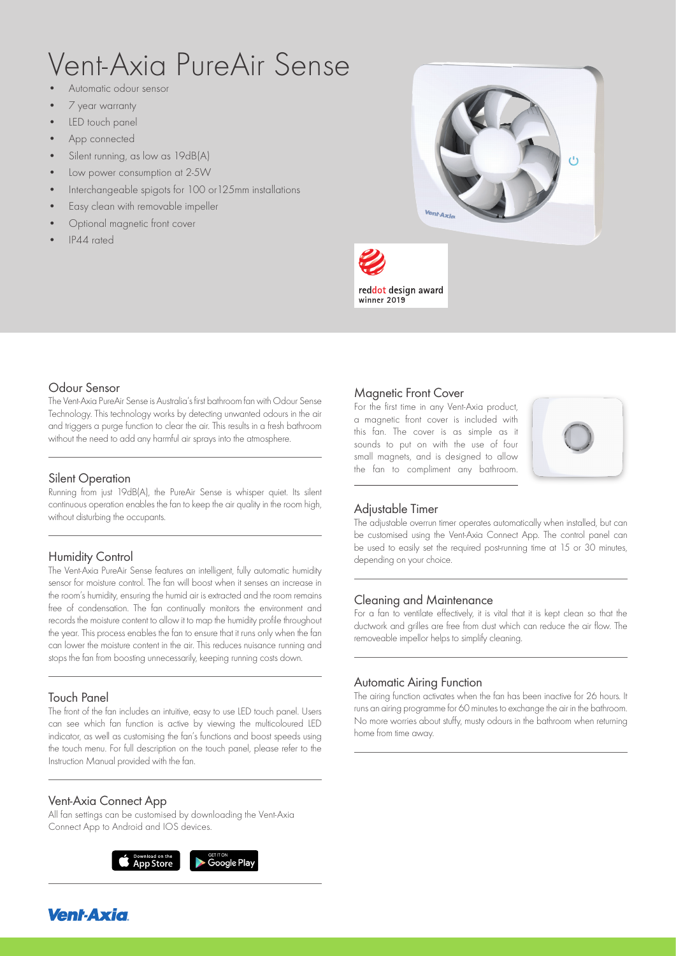# Vent-Axia PureAir Sense

- Automatic odour sensor
- 7 year warranty
- LED touch panel
- App connected
- Silent running, as low as 19dB(A)
- Low power consumption at 2-5W
- Interchangeable spigots for 100 or125mm installations
- Easy clean with removable impeller
- Optional magnetic front cover
- IP44 rated





# Odour Sensor

The Vent-Axia PureAir Sense is Australia's first bathroom fan with Odour Sense Technology. This technology works by detecting unwanted odours in the air and triggers a purge function to clear the air. This results in a fresh bathroom without the need to add any harmful air sprays into the atmosphere.

#### Silent Operation

Running from just 19dB(A), the PureAir Sense is whisper quiet. Its silent continuous operation enables the fan to keep the air quality in the room high, without disturbing the occupants.

# Humidity Control

The Vent-Axia PureAir Sense features an intelligent, fully automatic humidity sensor for moisture control. The fan will boost when it senses an increase in the room's humidity, ensuring the humid air is extracted and the room remains free of condensation. The fan continually monitors the environment and records the moisture content to allow it to map the humidity profile throughout the year. This process enables the fan to ensure that it runs only when the fan can lower the moisture content in the air. This reduces nuisance running and stops the fan from boosting unnecessarily, keeping running costs down.

# Touch Panel

The front of the fan includes an intuitive, easy to use LED touch panel. Users can see which fan function is active by viewing the multicoloured LED indicator, as well as customising the fan's functions and boost speeds using the touch menu. For full description on the touch panel, please refer to the Instruction Manual provided with the fan.

# Vent-Axia Connect App

All fan settings can be customised by downloading the Vent-Axia Connect App to Android and IOS devices.



# Magnetic Front Cover

For the first time in any Vent-Axia product, a magnetic front cover is included with this fan. The cover is as simple as it sounds to put on with the use of four small magnets, and is designed to allow the fan to compliment any bathroom.



# Adjustable Timer

The adjustable overrun timer operates automatically when installed, but can be customised using the Vent-Axia Connect App. The control panel can be used to easily set the required post-running time at 15 or 30 minutes, depending on your choice.

# Cleaning and Maintenance

For a fan to ventilate effectively, it is vital that it is kept clean so that the ductwork and grilles are free from dust which can reduce the air flow. The removeable impellor helps to simplify cleaning.

#### Automatic Airing Function

The airing function activates when the fan has been inactive for 26 hours. It runs an airing programme for 60 minutes to exchange the air in the bathroom. No more worries about stuffy, musty odours in the bathroom when returning home from time away.